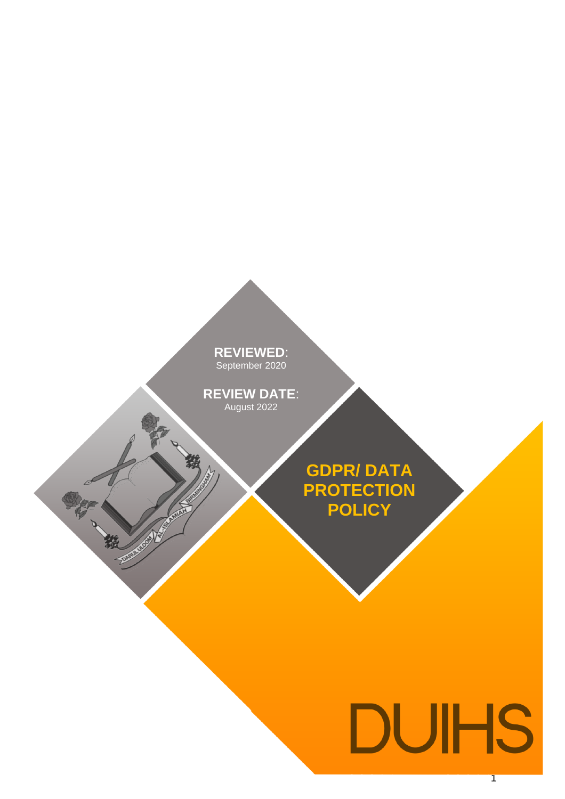**REVIEWED**: eptember 20 **REVIEWED**: September 2020

**REVIEW DATE**: August 2022 **REVIEW DATE**: August 2022

 $\overline{\mathcal{S}}$ 

**PARTICULAR DESCRIPTION** 

鷀

**GDPR/ DATA PROTECTION POLICY**

# **DUIHS**

1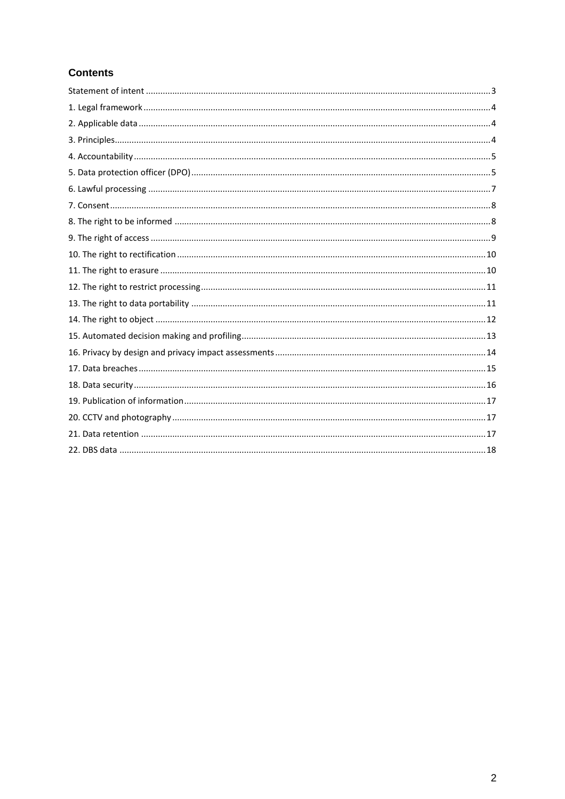# **Contents**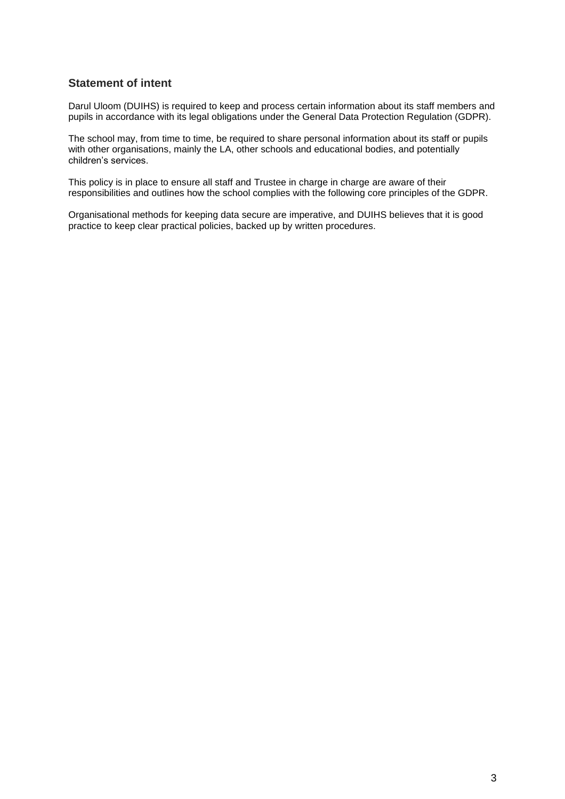## <span id="page-2-0"></span>**Statement of intent**

Darul Uloom (DUIHS) is required to keep and process certain information about its staff members and pupils in accordance with its legal obligations under the General Data Protection Regulation (GDPR).

The school may, from time to time, be required to share personal information about its staff or pupils with other organisations, mainly the LA, other schools and educational bodies, and potentially children's services.

This policy is in place to ensure all staff and Trustee in charge in charge are aware of their responsibilities and outlines how the school complies with the following core principles of the GDPR.

Organisational methods for keeping data secure are imperative, and DUIHS believes that it is good practice to keep clear practical policies, backed up by written procedures.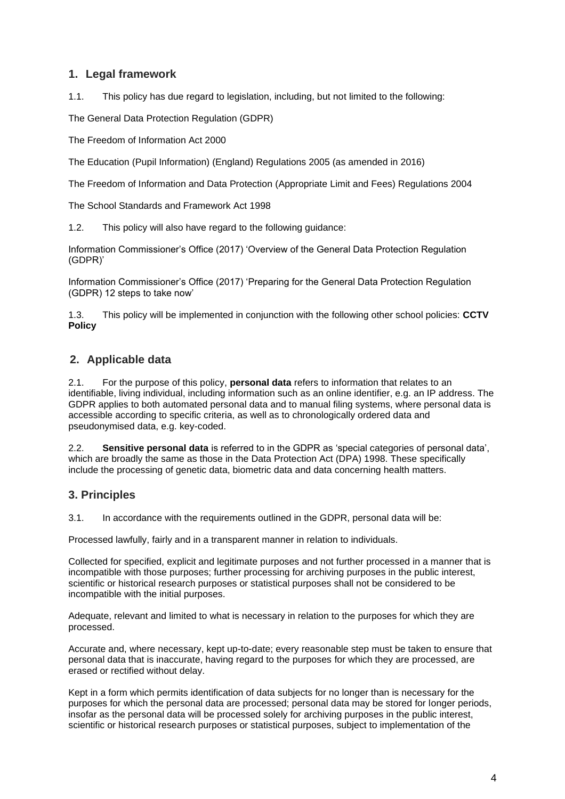## <span id="page-3-0"></span>**1. Legal framework**

1.1. This policy has due regard to legislation, including, but not limited to the following:

The General Data Protection Regulation (GDPR)

The Freedom of Information Act 2000

The Education (Pupil Information) (England) Regulations 2005 (as amended in 2016)

The Freedom of Information and Data Protection (Appropriate Limit and Fees) Regulations 2004

The School Standards and Framework Act 1998

1.2. This policy will also have regard to the following guidance:

Information Commissioner's Office (2017) 'Overview of the General Data Protection Regulation (GDPR)'

Information Commissioner's Office (2017) 'Preparing for the General Data Protection Regulation (GDPR) 12 steps to take now'

1.3. This policy will be implemented in conjunction with the following other school policies: **CCTV Policy**

## <span id="page-3-1"></span>**2. Applicable data**

2.1. For the purpose of this policy, **personal data** refers to information that relates to an identifiable, living individual, including information such as an online identifier, e.g. an IP address. The GDPR applies to both automated personal data and to manual filing systems, where personal data is accessible according to specific criteria, as well as to chronologically ordered data and pseudonymised data, e.g. key-coded.

2.2. **Sensitive personal data** is referred to in the GDPR as 'special categories of personal data', which are broadly the same as those in the Data Protection Act (DPA) 1998. These specifically include the processing of genetic data, biometric data and data concerning health matters.

## <span id="page-3-2"></span>**3. Principles**

3.1. In accordance with the requirements outlined in the GDPR, personal data will be:

Processed lawfully, fairly and in a transparent manner in relation to individuals.

Collected for specified, explicit and legitimate purposes and not further processed in a manner that is incompatible with those purposes; further processing for archiving purposes in the public interest, scientific or historical research purposes or statistical purposes shall not be considered to be incompatible with the initial purposes.

Adequate, relevant and limited to what is necessary in relation to the purposes for which they are processed.

Accurate and, where necessary, kept up-to-date; every reasonable step must be taken to ensure that personal data that is inaccurate, having regard to the purposes for which they are processed, are erased or rectified without delay.

Kept in a form which permits identification of data subjects for no longer than is necessary for the purposes for which the personal data are processed; personal data may be stored for longer periods, insofar as the personal data will be processed solely for archiving purposes in the public interest, scientific or historical research purposes or statistical purposes, subject to implementation of the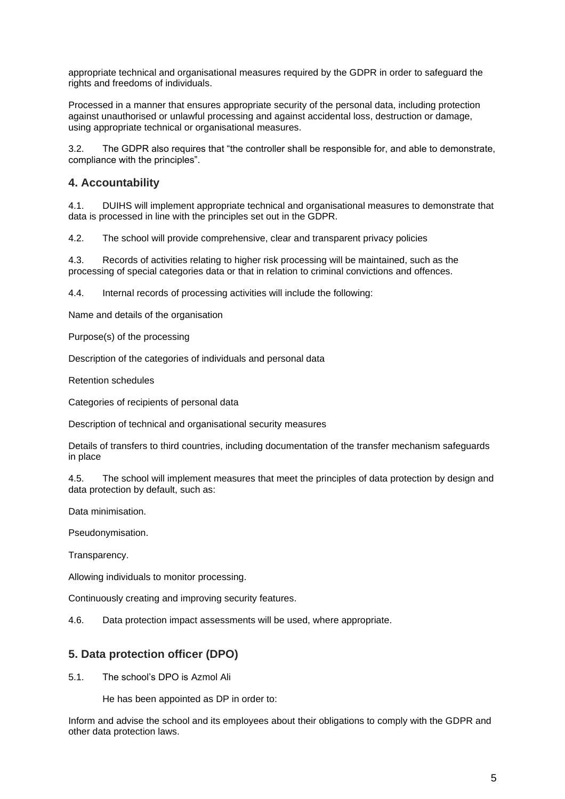appropriate technical and organisational measures required by the GDPR in order to safeguard the rights and freedoms of individuals.

Processed in a manner that ensures appropriate security of the personal data, including protection against unauthorised or unlawful processing and against accidental loss, destruction or damage, using appropriate technical or organisational measures.

3.2. The GDPR also requires that "the controller shall be responsible for, and able to demonstrate, compliance with the principles".

## <span id="page-4-0"></span>**4. Accountability**

4.1. DUIHS will implement appropriate technical and organisational measures to demonstrate that data is processed in line with the principles set out in the GDPR.

4.2. The school will provide comprehensive, clear and transparent privacy policies

4.3. Records of activities relating to higher risk processing will be maintained, such as the processing of special categories data or that in relation to criminal convictions and offences.

4.4. Internal records of processing activities will include the following:

Name and details of the organisation

Purpose(s) of the processing

Description of the categories of individuals and personal data

Retention schedules

Categories of recipients of personal data

Description of technical and organisational security measures

Details of transfers to third countries, including documentation of the transfer mechanism safeguards in place

4.5. The school will implement measures that meet the principles of data protection by design and data protection by default, such as:

Data minimisation.

Pseudonymisation.

Transparency.

Allowing individuals to monitor processing.

Continuously creating and improving security features.

4.6. Data protection impact assessments will be used, where appropriate.

#### <span id="page-4-1"></span>**5. Data protection officer (DPO)**

5.1. The school's DPO is Azmol Ali

He has been appointed as DP in order to:

Inform and advise the school and its employees about their obligations to comply with the GDPR and other data protection laws.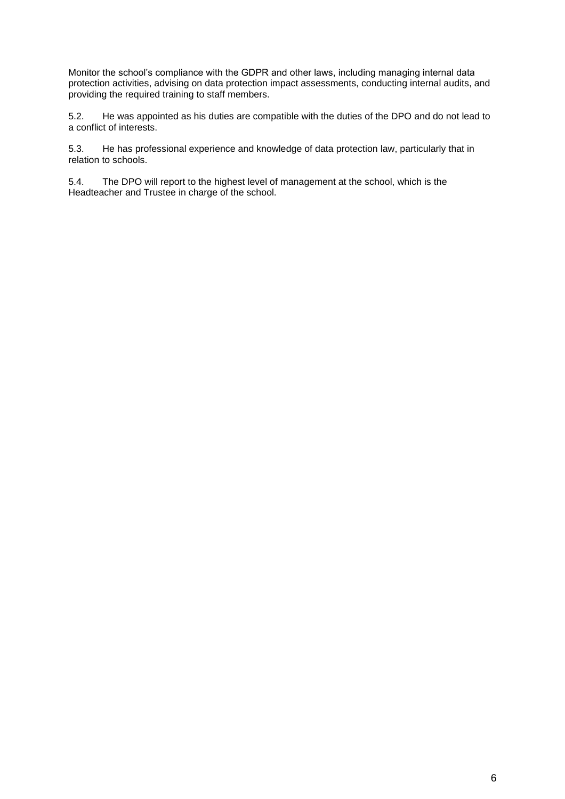Monitor the school's compliance with the GDPR and other laws, including managing internal data protection activities, advising on data protection impact assessments, conducting internal audits, and providing the required training to staff members.

5.2. He was appointed as his duties are compatible with the duties of the DPO and do not lead to a conflict of interests.

5.3. He has professional experience and knowledge of data protection law, particularly that in relation to schools.

5.4. The DPO will report to the highest level of management at the school, which is the Headteacher and Trustee in charge of the school.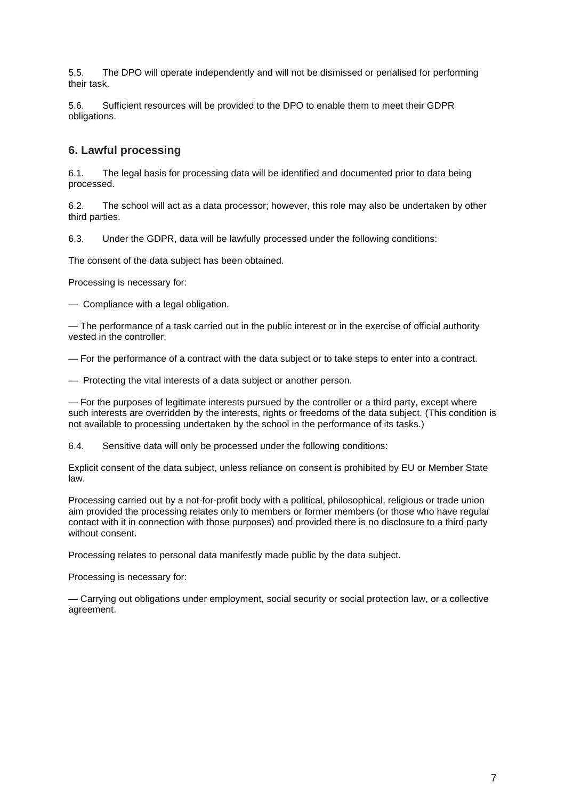5.5. The DPO will operate independently and will not be dismissed or penalised for performing their task.

5.6. Sufficient resources will be provided to the DPO to enable them to meet their GDPR obligations.

## <span id="page-6-0"></span>**6. Lawful processing**

6.1. The legal basis for processing data will be identified and documented prior to data being processed.

6.2. The school will act as a data processor; however, this role may also be undertaken by other third parties.

6.3. Under the GDPR, data will be lawfully processed under the following conditions:

The consent of the data subject has been obtained.

Processing is necessary for:

— Compliance with a legal obligation.

— The performance of a task carried out in the public interest or in the exercise of official authority vested in the controller.

— For the performance of a contract with the data subject or to take steps to enter into a contract.

— Protecting the vital interests of a data subject or another person.

— For the purposes of legitimate interests pursued by the controller or a third party, except where such interests are overridden by the interests, rights or freedoms of the data subject. (This condition is not available to processing undertaken by the school in the performance of its tasks.)

6.4. Sensitive data will only be processed under the following conditions:

Explicit consent of the data subject, unless reliance on consent is prohibited by EU or Member State law.

Processing carried out by a not-for-profit body with a political, philosophical, religious or trade union aim provided the processing relates only to members or former members (or those who have regular contact with it in connection with those purposes) and provided there is no disclosure to a third party without consent.

Processing relates to personal data manifestly made public by the data subject.

Processing is necessary for:

— Carrying out obligations under employment, social security or social protection law, or a collective agreement.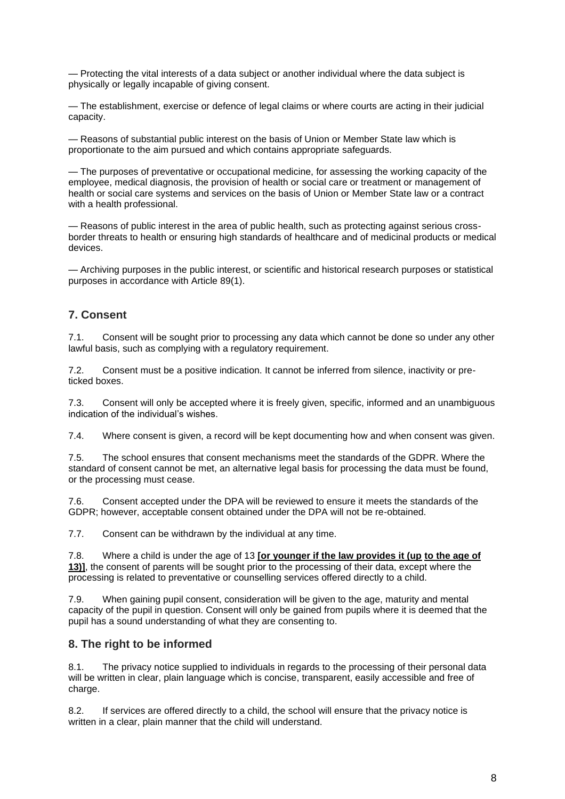— Protecting the vital interests of a data subject or another individual where the data subject is physically or legally incapable of giving consent.

— The establishment, exercise or defence of legal claims or where courts are acting in their judicial capacity.

— Reasons of substantial public interest on the basis of Union or Member State law which is proportionate to the aim pursued and which contains appropriate safeguards.

— The purposes of preventative or occupational medicine, for assessing the working capacity of the employee, medical diagnosis, the provision of health or social care or treatment or management of health or social care systems and services on the basis of Union or Member State law or a contract with a health professional.

— Reasons of public interest in the area of public health, such as protecting against serious crossborder threats to health or ensuring high standards of healthcare and of medicinal products or medical devices.

— Archiving purposes in the public interest, or scientific and historical research purposes or statistical purposes in accordance with Article 89(1).

## <span id="page-7-0"></span>**7. Consent**

7.1. Consent will be sought prior to processing any data which cannot be done so under any other lawful basis, such as complying with a regulatory requirement.

7.2. Consent must be a positive indication. It cannot be inferred from silence, inactivity or preticked boxes.

7.3. Consent will only be accepted where it is freely given, specific, informed and an unambiguous indication of the individual's wishes.

7.4. Where consent is given, a record will be kept documenting how and when consent was given.

7.5. The school ensures that consent mechanisms meet the standards of the GDPR. Where the standard of consent cannot be met, an alternative legal basis for processing the data must be found, or the processing must cease.

7.6. Consent accepted under the DPA will be reviewed to ensure it meets the standards of the GDPR; however, acceptable consent obtained under the DPA will not be re-obtained.

7.7. Consent can be withdrawn by the individual at any time.

7.8. Where a child is under the age of 13 **[or younger if the law provides it (up to the age of 13)]**, the consent of parents will be sought prior to the processing of their data, except where the processing is related to preventative or counselling services offered directly to a child.

7.9. When gaining pupil consent, consideration will be given to the age, maturity and mental capacity of the pupil in question. Consent will only be gained from pupils where it is deemed that the pupil has a sound understanding of what they are consenting to.

## <span id="page-7-1"></span>**8. The right to be informed**

8.1. The privacy notice supplied to individuals in regards to the processing of their personal data will be written in clear, plain language which is concise, transparent, easily accessible and free of charge.

8.2. If services are offered directly to a child, the school will ensure that the privacy notice is written in a clear, plain manner that the child will understand.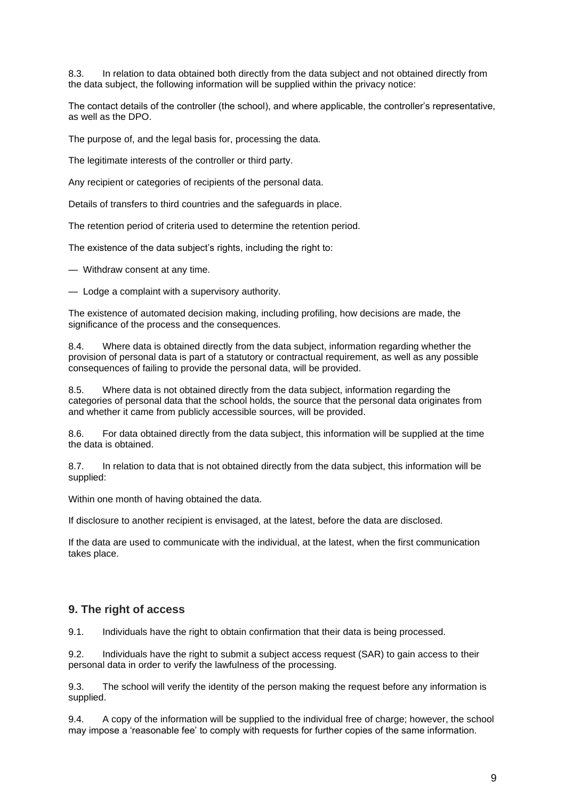8.3. In relation to data obtained both directly from the data subject and not obtained directly from the data subject, the following information will be supplied within the privacy notice:

The contact details of the controller (the school), and where applicable, the controller's representative, as well as the DPO.

The purpose of, and the legal basis for, processing the data.

The legitimate interests of the controller or third party.

Any recipient or categories of recipients of the personal data.

Details of transfers to third countries and the safeguards in place.

The retention period of criteria used to determine the retention period.

The existence of the data subject's rights, including the right to:

— Withdraw consent at any time.

— Lodge a complaint with a supervisory authority.

The existence of automated decision making, including profiling, how decisions are made, the significance of the process and the consequences.

8.4. Where data is obtained directly from the data subject, information regarding whether the provision of personal data is part of a statutory or contractual requirement, as well as any possible consequences of failing to provide the personal data, will be provided.

8.5. Where data is not obtained directly from the data subject, information regarding the categories of personal data that the school holds, the source that the personal data originates from and whether it came from publicly accessible sources, will be provided.

8.6. For data obtained directly from the data subject, this information will be supplied at the time the data is obtained.

8.7. In relation to data that is not obtained directly from the data subject, this information will be supplied:

Within one month of having obtained the data.

If disclosure to another recipient is envisaged, at the latest, before the data are disclosed.

If the data are used to communicate with the individual, at the latest, when the first communication takes place.

#### <span id="page-8-0"></span>**9. The right of access**

9.1. Individuals have the right to obtain confirmation that their data is being processed.

9.2. Individuals have the right to submit a subject access request (SAR) to gain access to their personal data in order to verify the lawfulness of the processing.

9.3. The school will verify the identity of the person making the request before any information is supplied.

9.4. A copy of the information will be supplied to the individual free of charge; however, the school may impose a 'reasonable fee' to comply with requests for further copies of the same information.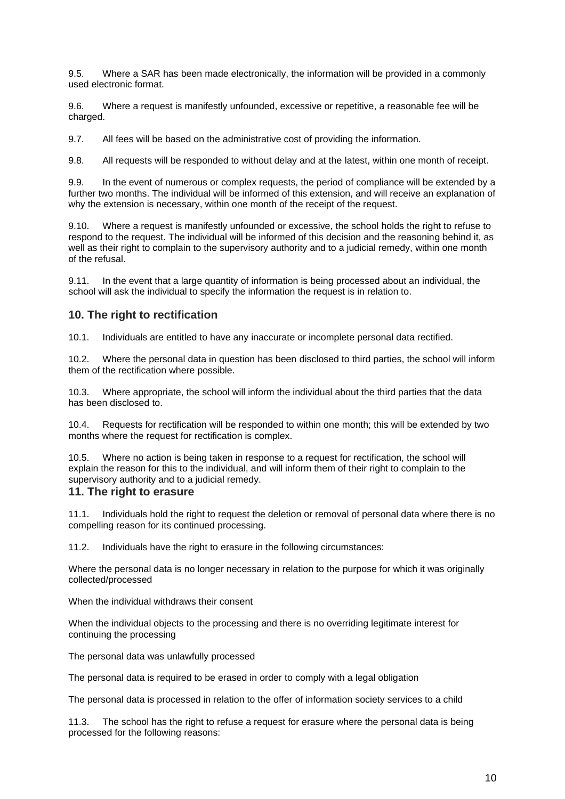9.5. Where a SAR has been made electronically, the information will be provided in a commonly used electronic format.

9.6. Where a request is manifestly unfounded, excessive or repetitive, a reasonable fee will be charged.

9.7. All fees will be based on the administrative cost of providing the information.

9.8. All requests will be responded to without delay and at the latest, within one month of receipt.

9.9. In the event of numerous or complex requests, the period of compliance will be extended by a further two months. The individual will be informed of this extension, and will receive an explanation of why the extension is necessary, within one month of the receipt of the request.

Where a request is manifestly unfounded or excessive, the school holds the right to refuse to respond to the request. The individual will be informed of this decision and the reasoning behind it, as well as their right to complain to the supervisory authority and to a judicial remedy, within one month of the refusal.

9.11. In the event that a large quantity of information is being processed about an individual, the school will ask the individual to specify the information the request is in relation to.

#### <span id="page-9-0"></span>**10. The right to rectification**

10.1. Individuals are entitled to have any inaccurate or incomplete personal data rectified.

10.2. Where the personal data in question has been disclosed to third parties, the school will inform them of the rectification where possible.

10.3. Where appropriate, the school will inform the individual about the third parties that the data has been disclosed to.

10.4. Requests for rectification will be responded to within one month; this will be extended by two months where the request for rectification is complex.

10.5. Where no action is being taken in response to a request for rectification, the school will explain the reason for this to the individual, and will inform them of their right to complain to the supervisory authority and to a judicial remedy.

#### <span id="page-9-1"></span>**11. The right to erasure**

11.1. Individuals hold the right to request the deletion or removal of personal data where there is no compelling reason for its continued processing.

11.2. Individuals have the right to erasure in the following circumstances:

Where the personal data is no longer necessary in relation to the purpose for which it was originally collected/processed

When the individual withdraws their consent

When the individual objects to the processing and there is no overriding legitimate interest for continuing the processing

The personal data was unlawfully processed

The personal data is required to be erased in order to comply with a legal obligation

The personal data is processed in relation to the offer of information society services to a child

11.3. The school has the right to refuse a request for erasure where the personal data is being processed for the following reasons: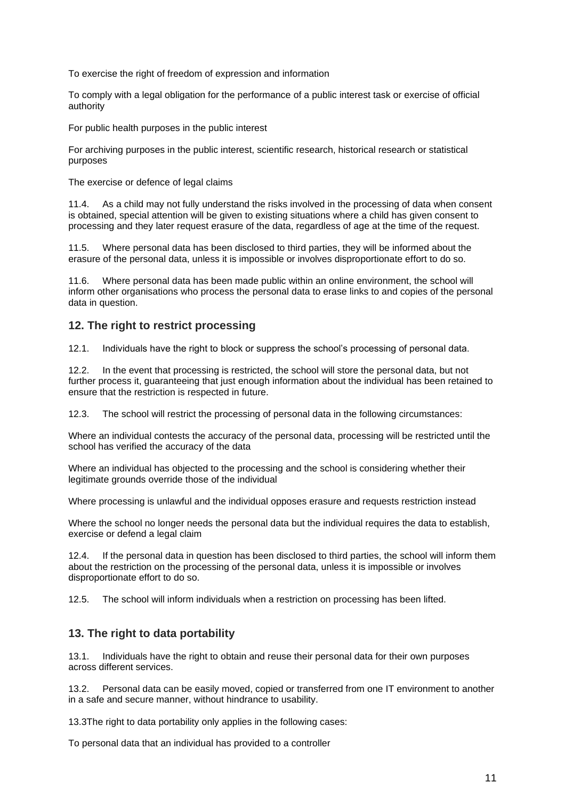To exercise the right of freedom of expression and information

To comply with a legal obligation for the performance of a public interest task or exercise of official authority

For public health purposes in the public interest

For archiving purposes in the public interest, scientific research, historical research or statistical purposes

The exercise or defence of legal claims

11.4. As a child may not fully understand the risks involved in the processing of data when consent is obtained, special attention will be given to existing situations where a child has given consent to processing and they later request erasure of the data, regardless of age at the time of the request.

11.5. Where personal data has been disclosed to third parties, they will be informed about the erasure of the personal data, unless it is impossible or involves disproportionate effort to do so.

11.6. Where personal data has been made public within an online environment, the school will inform other organisations who process the personal data to erase links to and copies of the personal data in question.

## <span id="page-10-0"></span>**12. The right to restrict processing**

12.1. Individuals have the right to block or suppress the school's processing of personal data.

12.2. In the event that processing is restricted, the school will store the personal data, but not further process it, guaranteeing that just enough information about the individual has been retained to ensure that the restriction is respected in future.

12.3. The school will restrict the processing of personal data in the following circumstances:

Where an individual contests the accuracy of the personal data, processing will be restricted until the school has verified the accuracy of the data

Where an individual has objected to the processing and the school is considering whether their legitimate grounds override those of the individual

Where processing is unlawful and the individual opposes erasure and requests restriction instead

Where the school no longer needs the personal data but the individual requires the data to establish, exercise or defend a legal claim

12.4. If the personal data in question has been disclosed to third parties, the school will inform them about the restriction on the processing of the personal data, unless it is impossible or involves disproportionate effort to do so.

12.5. The school will inform individuals when a restriction on processing has been lifted.

## <span id="page-10-1"></span>**13. The right to data portability**

13.1. Individuals have the right to obtain and reuse their personal data for their own purposes across different services.

13.2. Personal data can be easily moved, copied or transferred from one IT environment to another in a safe and secure manner, without hindrance to usability.

13.3The right to data portability only applies in the following cases:

To personal data that an individual has provided to a controller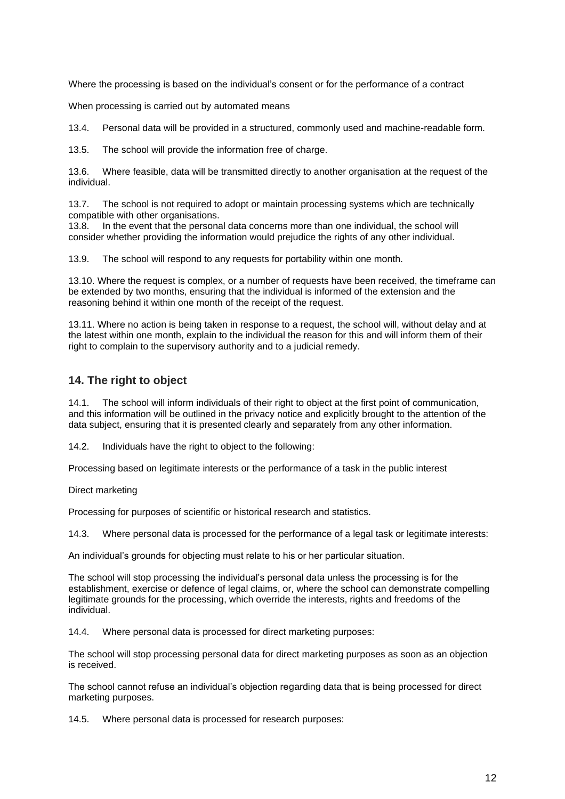Where the processing is based on the individual's consent or for the performance of a contract

When processing is carried out by automated means

13.4. Personal data will be provided in a structured, commonly used and machine-readable form.

13.5. The school will provide the information free of charge.

13.6. Where feasible, data will be transmitted directly to another organisation at the request of the individual.

13.7. The school is not required to adopt or maintain processing systems which are technically compatible with other organisations.

13.8. In the event that the personal data concerns more than one individual, the school will consider whether providing the information would prejudice the rights of any other individual.

13.9. The school will respond to any requests for portability within one month.

13.10. Where the request is complex, or a number of requests have been received, the timeframe can be extended by two months, ensuring that the individual is informed of the extension and the reasoning behind it within one month of the receipt of the request.

13.11. Where no action is being taken in response to a request, the school will, without delay and at the latest within one month, explain to the individual the reason for this and will inform them of their right to complain to the supervisory authority and to a judicial remedy.

## <span id="page-11-0"></span>**14. The right to object**

14.1. The school will inform individuals of their right to object at the first point of communication, and this information will be outlined in the privacy notice and explicitly brought to the attention of the data subject, ensuring that it is presented clearly and separately from any other information.

14.2. Individuals have the right to object to the following:

Processing based on legitimate interests or the performance of a task in the public interest

Direct marketing

Processing for purposes of scientific or historical research and statistics.

14.3. Where personal data is processed for the performance of a legal task or legitimate interests:

An individual's grounds for objecting must relate to his or her particular situation.

The school will stop processing the individual's personal data unless the processing is for the establishment, exercise or defence of legal claims, or, where the school can demonstrate compelling legitimate grounds for the processing, which override the interests, rights and freedoms of the individual.

14.4. Where personal data is processed for direct marketing purposes:

The school will stop processing personal data for direct marketing purposes as soon as an objection is received.

The school cannot refuse an individual's objection regarding data that is being processed for direct marketing purposes.

14.5. Where personal data is processed for research purposes: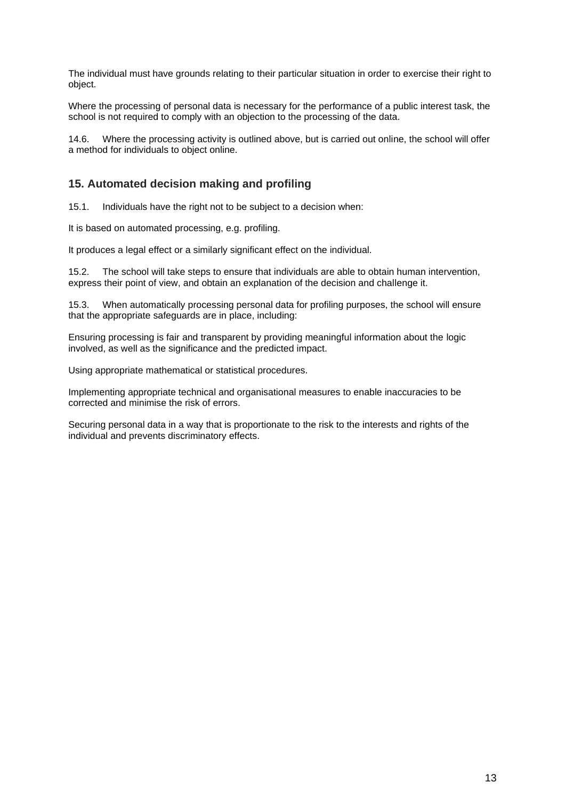The individual must have grounds relating to their particular situation in order to exercise their right to object.

Where the processing of personal data is necessary for the performance of a public interest task, the school is not required to comply with an objection to the processing of the data.

14.6. Where the processing activity is outlined above, but is carried out online, the school will offer a method for individuals to object online.

## <span id="page-12-0"></span>**15. Automated decision making and profiling**

15.1. Individuals have the right not to be subject to a decision when:

It is based on automated processing, e.g. profiling.

It produces a legal effect or a similarly significant effect on the individual.

15.2. The school will take steps to ensure that individuals are able to obtain human intervention, express their point of view, and obtain an explanation of the decision and challenge it.

15.3. When automatically processing personal data for profiling purposes, the school will ensure that the appropriate safeguards are in place, including:

Ensuring processing is fair and transparent by providing meaningful information about the logic involved, as well as the significance and the predicted impact.

Using appropriate mathematical or statistical procedures.

Implementing appropriate technical and organisational measures to enable inaccuracies to be corrected and minimise the risk of errors.

Securing personal data in a way that is proportionate to the risk to the interests and rights of the individual and prevents discriminatory effects.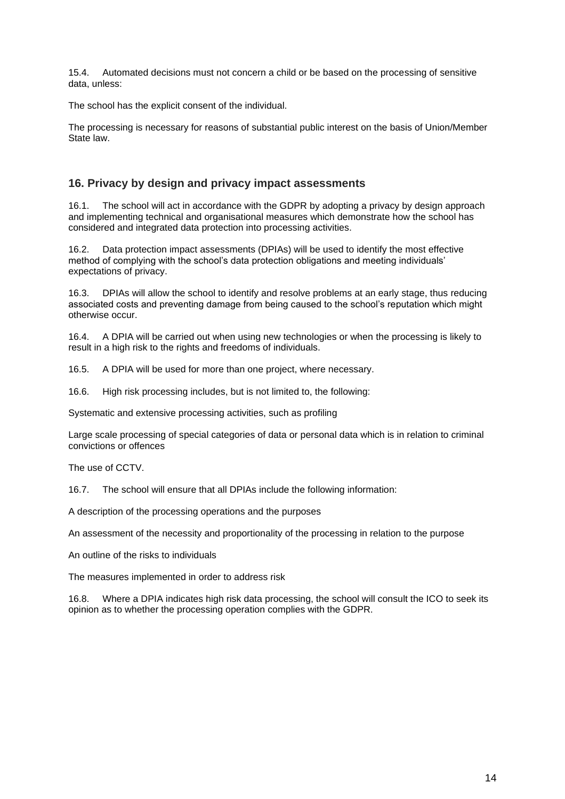15.4. Automated decisions must not concern a child or be based on the processing of sensitive data, unless:

The school has the explicit consent of the individual.

The processing is necessary for reasons of substantial public interest on the basis of Union/Member State law.

#### <span id="page-13-0"></span>**16. Privacy by design and privacy impact assessments**

16.1. The school will act in accordance with the GDPR by adopting a privacy by design approach and implementing technical and organisational measures which demonstrate how the school has considered and integrated data protection into processing activities.

16.2. Data protection impact assessments (DPIAs) will be used to identify the most effective method of complying with the school's data protection obligations and meeting individuals' expectations of privacy.

16.3. DPIAs will allow the school to identify and resolve problems at an early stage, thus reducing associated costs and preventing damage from being caused to the school's reputation which might otherwise occur.

16.4. A DPIA will be carried out when using new technologies or when the processing is likely to result in a high risk to the rights and freedoms of individuals.

16.5. A DPIA will be used for more than one project, where necessary.

16.6. High risk processing includes, but is not limited to, the following:

Systematic and extensive processing activities, such as profiling

Large scale processing of special categories of data or personal data which is in relation to criminal convictions or offences

The use of CCTV.

16.7. The school will ensure that all DPIAs include the following information:

A description of the processing operations and the purposes

An assessment of the necessity and proportionality of the processing in relation to the purpose

An outline of the risks to individuals

The measures implemented in order to address risk

16.8. Where a DPIA indicates high risk data processing, the school will consult the ICO to seek its opinion as to whether the processing operation complies with the GDPR.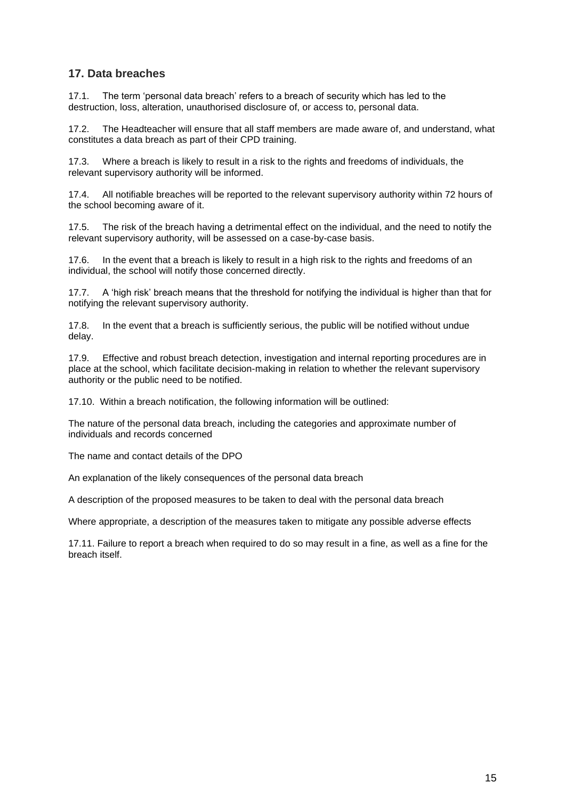## <span id="page-14-0"></span>**17. Data breaches**

17.1. The term 'personal data breach' refers to a breach of security which has led to the destruction, loss, alteration, unauthorised disclosure of, or access to, personal data.

17.2. The Headteacher will ensure that all staff members are made aware of, and understand, what constitutes a data breach as part of their CPD training.

17.3. Where a breach is likely to result in a risk to the rights and freedoms of individuals, the relevant supervisory authority will be informed.

17.4. All notifiable breaches will be reported to the relevant supervisory authority within 72 hours of the school becoming aware of it.

17.5. The risk of the breach having a detrimental effect on the individual, and the need to notify the relevant supervisory authority, will be assessed on a case-by-case basis.

17.6. In the event that a breach is likely to result in a high risk to the rights and freedoms of an individual, the school will notify those concerned directly.

17.7. A 'high risk' breach means that the threshold for notifying the individual is higher than that for notifying the relevant supervisory authority.

17.8. In the event that a breach is sufficiently serious, the public will be notified without undue delay.

17.9. Effective and robust breach detection, investigation and internal reporting procedures are in place at the school, which facilitate decision-making in relation to whether the relevant supervisory authority or the public need to be notified.

17.10. Within a breach notification, the following information will be outlined:

The nature of the personal data breach, including the categories and approximate number of individuals and records concerned

The name and contact details of the DPO

An explanation of the likely consequences of the personal data breach

A description of the proposed measures to be taken to deal with the personal data breach

Where appropriate, a description of the measures taken to mitigate any possible adverse effects

17.11. Failure to report a breach when required to do so may result in a fine, as well as a fine for the breach itself.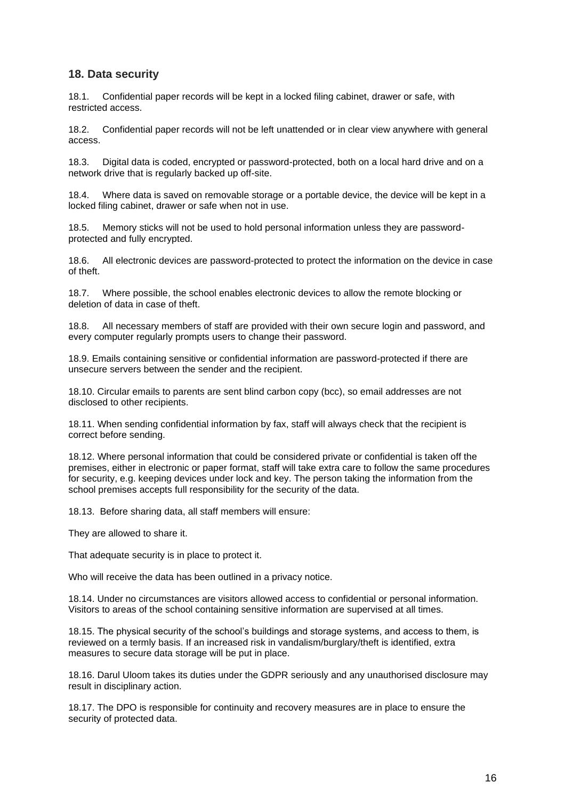## <span id="page-15-0"></span>**18. Data security**

18.1. Confidential paper records will be kept in a locked filing cabinet, drawer or safe, with restricted access.

18.2. Confidential paper records will not be left unattended or in clear view anywhere with general access.

18.3. Digital data is coded, encrypted or password-protected, both on a local hard drive and on a network drive that is regularly backed up off-site.

18.4. Where data is saved on removable storage or a portable device, the device will be kept in a locked filing cabinet, drawer or safe when not in use.

18.5. Memory sticks will not be used to hold personal information unless they are passwordprotected and fully encrypted.

18.6. All electronic devices are password-protected to protect the information on the device in case of theft.

18.7. Where possible, the school enables electronic devices to allow the remote blocking or deletion of data in case of theft.

18.8. All necessary members of staff are provided with their own secure login and password, and every computer regularly prompts users to change their password.

18.9. Emails containing sensitive or confidential information are password-protected if there are unsecure servers between the sender and the recipient.

18.10. Circular emails to parents are sent blind carbon copy (bcc), so email addresses are not disclosed to other recipients.

18.11. When sending confidential information by fax, staff will always check that the recipient is correct before sending.

18.12. Where personal information that could be considered private or confidential is taken off the premises, either in electronic or paper format, staff will take extra care to follow the same procedures for security, e.g. keeping devices under lock and key. The person taking the information from the school premises accepts full responsibility for the security of the data.

18.13. Before sharing data, all staff members will ensure:

They are allowed to share it.

That adequate security is in place to protect it.

Who will receive the data has been outlined in a privacy notice.

18.14. Under no circumstances are visitors allowed access to confidential or personal information. Visitors to areas of the school containing sensitive information are supervised at all times.

18.15. The physical security of the school's buildings and storage systems, and access to them, is reviewed on a termly basis. If an increased risk in vandalism/burglary/theft is identified, extra measures to secure data storage will be put in place.

18.16. Darul Uloom takes its duties under the GDPR seriously and any unauthorised disclosure may result in disciplinary action.

18.17. The DPO is responsible for continuity and recovery measures are in place to ensure the security of protected data.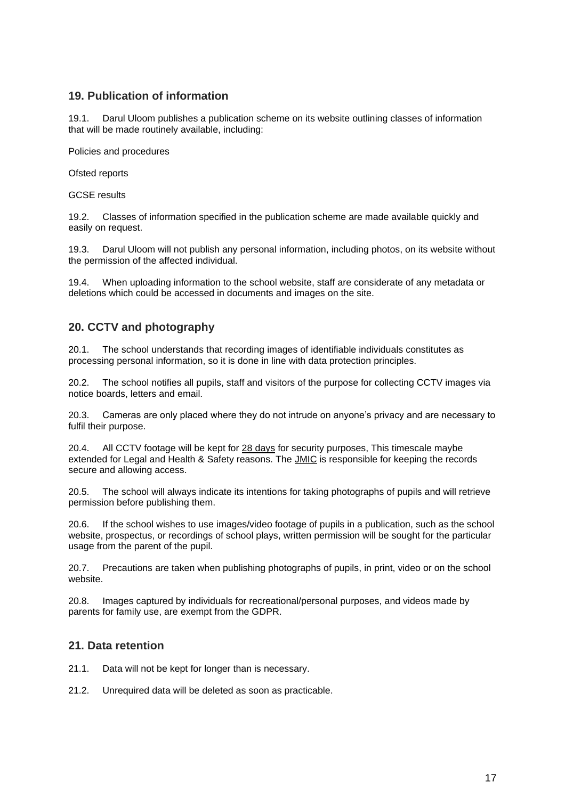## <span id="page-16-0"></span>**19. Publication of information**

19.1. Darul Uloom publishes a publication scheme on its website outlining classes of information that will be made routinely available, including:

Policies and procedures

Ofsted reports

GCSE results

19.2. Classes of information specified in the publication scheme are made available quickly and easily on request.

19.3. Darul Uloom will not publish any personal information, including photos, on its website without the permission of the affected individual.

19.4. When uploading information to the school website, staff are considerate of any metadata or deletions which could be accessed in documents and images on the site.

## <span id="page-16-1"></span>**20. CCTV and photography**

20.1. The school understands that recording images of identifiable individuals constitutes as processing personal information, so it is done in line with data protection principles.

20.2. The school notifies all pupils, staff and visitors of the purpose for collecting CCTV images via notice boards, letters and email.

20.3. Cameras are only placed where they do not intrude on anyone's privacy and are necessary to fulfil their purpose.

20.4. All CCTV footage will be kept for 28 days for security purposes, This timescale maybe extended for Legal and Health & Safety reasons. The JMIC is responsible for keeping the records secure and allowing access.

20.5. The school will always indicate its intentions for taking photographs of pupils and will retrieve permission before publishing them.

If the school wishes to use images/video footage of pupils in a publication, such as the school website, prospectus, or recordings of school plays, written permission will be sought for the particular usage from the parent of the pupil.

20.7. Precautions are taken when publishing photographs of pupils, in print, video or on the school website.

20.8. Images captured by individuals for recreational/personal purposes, and videos made by parents for family use, are exempt from the GDPR.

#### <span id="page-16-2"></span>**21. Data retention**

- 21.1. Data will not be kept for longer than is necessary.
- 21.2. Unrequired data will be deleted as soon as practicable.